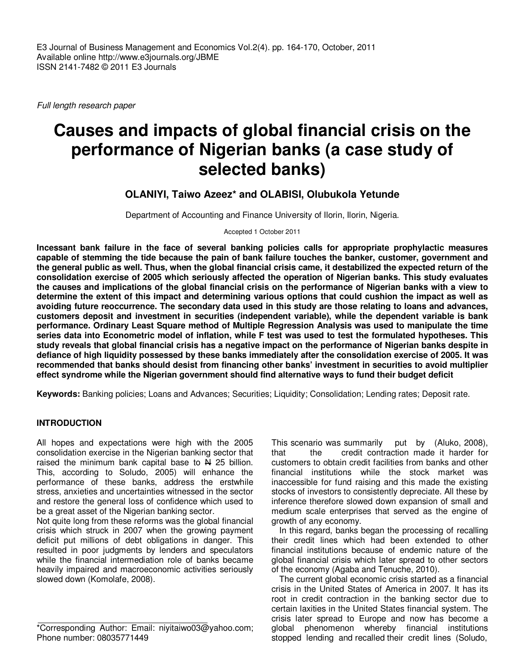Full length research paper

# **Causes and impacts of global financial crisis on the performance of Nigerian banks (a case study of selected banks)**

## **OLANIYI, Taiwo Azeez\* and OLABISI, Olubukola Yetunde**

Department of Accounting and Finance University of Ilorin, Ilorin, Nigeria.

Accepted 1 October 2011

**Incessant bank failure in the face of several banking policies calls for appropriate prophylactic measures capable of stemming the tide because the pain of bank failure touches the banker, customer, government and the general public as well. Thus, when the global financial crisis came, it destabilized the expected return of the consolidation exercise of 2005 which seriously affected the operation of Nigerian banks. This study evaluates the causes and implications of the global financial crisis on the performance of Nigerian banks with a view to determine the extent of this impact and determining various options that could cushion the impact as well as avoiding future reoccurrence. The secondary data used in this study are those relating to loans and advances, customers deposit and investment in securities (independent variable), while the dependent variable is bank performance. Ordinary Least Square method of Multiple Regression Analysis was used to manipulate the time series data into Econometric model of inflation, while F test was used to test the formulated hypotheses. This study reveals that global financial crisis has a negative impact on the performance of Nigerian banks despite in defiance of high liquidity possessed by these banks immediately after the consolidation exercise of 2005. It was recommended that banks should desist from financing other banks' investment in securities to avoid multiplier effect syndrome while the Nigerian government should find alternative ways to fund their budget deficit** 

**Keywords:** Banking policies; Loans and Advances; Securities; Liquidity; Consolidation; Lending rates; Deposit rate.

## **INTRODUCTION**

All hopes and expectations were high with the 2005 consolidation exercise in the Nigerian banking sector that raised the minimum bank capital base to  $\frac{N}{4}$  25 billion. This, according to Soludo, 2005) will enhance the performance of these banks, address the erstwhile stress, anxieties and uncertainties witnessed in the sector and restore the general loss of confidence which used to be a great asset of the Nigerian banking sector.

Not quite long from these reforms was the global financial crisis which struck in 2007 when the growing payment deficit put millions of debt obligations in danger. This resulted in poor judgments by lenders and speculators while the financial intermediation role of banks became heavily impaired and macroeconomic activities seriously slowed down (Komolafe, 2008).

This scenario was summarily put by (Aluko, 2008), that the credit contraction made it harder for customers to obtain credit facilities from banks and other financial institutions while the stock market was inaccessible for fund raising and this made the existing stocks of investors to consistently depreciate. All these by inference therefore slowed down expansion of small and medium scale enterprises that served as the engine of growth of any economy.

In this regard, banks began the processing of recalling their credit lines which had been extended to other financial institutions because of endemic nature of the global financial crisis which later spread to other sectors of the economy (Agaba and Tenuche, 2010).

The current global economic crisis started as a financial crisis in the United States of America in 2007. It has its root in credit contraction in the banking sector due to certain laxities in the United States financial system. The crisis later spread to Europe and now has become a global phenomenon whereby financial institutions stopped lending and recalled their credit lines (Soludo,

<sup>\*</sup>Corresponding Author: Email: niyitaiwo03@yahoo.com; Phone number: 08035771449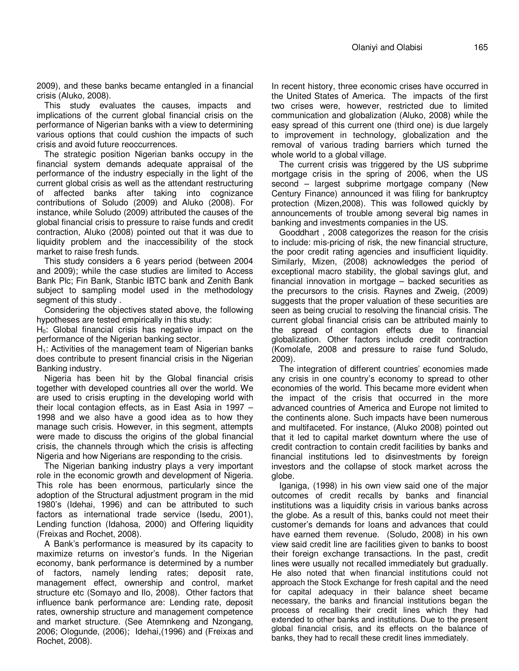2009), and these banks became entangled in a financial crisis (Aluko, 2008).

This study evaluates the causes, impacts and implications of the current global financial crisis on the performance of Nigerian banks with a view to determining various options that could cushion the impacts of such crisis and avoid future reoccurrences.

The strategic position Nigerian banks occupy in the financial system demands adequate appraisal of the performance of the industry especially in the light of the current global crisis as well as the attendant restructuring of affected banks after taking into cognizance contributions of Soludo (2009) and Aluko (2008). For instance, while Soludo (2009) attributed the causes of the global financial crisis to pressure to raise funds and credit contraction, Aluko (2008) pointed out that it was due to liquidity problem and the inaccessibility of the stock market to raise fresh funds.

This study considers a 6 years period (between 2004 and 2009); while the case studies are limited to Access Bank Plc; Fin Bank, Stanbic IBTC bank and Zenith Bank subject to sampling model used in the methodology segment of this study .

Considering the objectives stated above, the following hypotheses are tested empirically in this study:

 $H<sub>0</sub>$ : Global financial crisis has negative impact on the performance of the Nigerian banking sector.

 $H<sub>1</sub>$ : Activities of the management team of Nigerian banks does contribute to present financial crisis in the Nigerian Banking industry.

Nigeria has been hit by the Global financial crisis together with developed countries all over the world. We are used to crisis erupting in the developing world with their local contagion effects, as in East Asia in 1997 – 1998 and we also have a good idea as to how they manage such crisis. However, in this segment, attempts were made to discuss the origins of the global financial crisis, the channels through which the crisis is affecting Nigeria and how Nigerians are responding to the crisis.

The Nigerian banking industry plays a very important role in the economic growth and development of Nigeria. This role has been enormous, particularly since the adoption of the Structural adjustment program in the mid 1980's (Idehai, 1996) and can be attributed to such factors as international trade service (Isedu, 2001), Lending function (Idahosa, 2000) and Offering liquidity (Freixas and Rochet, 2008).

A Bank's performance is measured by its capacity to maximize returns on investor's funds. In the Nigerian economy, bank performance is determined by a number of factors, namely lending rates; deposit rate, management effect, ownership and control, market structure etc (Somayo and Ilo, 2008). Other factors that influence bank performance are: Lending rate, deposit rates, ownership structure and management competence and market structure. (See Atemnkeng and Nzongang, 2006; Ologunde, (2006); Idehai,(1996) and (Freixas and Rochet, 2008).

In recent history, three economic crises have occurred in the United States of America. The impacts of the first two crises were, however, restricted due to limited communication and globalization (Aluko, 2008) while the easy spread of this current one (third one) is due largely to improvement in technology, globalization and the removal of various trading barriers which turned the whole world to a global village.

The current crisis was triggered by the US subprime mortgage crisis in the spring of 2006, when the US second – largest subprime mortgage company (New Century Finance) announced it was filing for bankruptcy protection (Mizen,2008). This was followed quickly by announcements of trouble among several big names in banking and investments companies in the US.

Gooddhart , 2008 categorizes the reason for the crisis to include: mis-pricing of risk, the new financial structure, the poor credit rating agencies and insufficient liquidity. Similarly, Mizen, (2008) acknowledges the period of exceptional macro stability, the global savings glut, and financial innovation in mortgage – backed securities as the precursors to the crisis. Raynes and Zweig, (2009) suggests that the proper valuation of these securities are seen as being crucial to resolving the financial crisis. The current global financial crisis can be attributed mainly to the spread of contagion effects due to financial globalization. Other factors include credit contraction (Komolafe, 2008 and pressure to raise fund Soludo, 2009).

The integration of different countries' economies made any crisis in one country's economy to spread to other economies of the world. This became more evident when the impact of the crisis that occurred in the more advanced countries of America and Europe not limited to the continents alone. Such impacts have been numerous and multifaceted. For instance, (Aluko 2008) pointed out that it led to capital market downturn where the use of credit contraction to contain credit facilities by banks and financial institutions led to disinvestments by foreign investors and the collapse of stock market across the globe.

Iganiga, (1998) in his own view said one of the major outcomes of credit recalls by banks and financial institutions was a liquidity crisis in various banks across the globe. As a result of this, banks could not meet their customer's demands for loans and advances that could have earned them revenue. (Soludo, 2008) in his own view said credit line are facilities given to banks to boost their foreign exchange transactions. In the past, credit lines were usually not recalled immediately but gradually. He also noted that when financial institutions could not approach the Stock Exchange for fresh capital and the need for capital adequacy in their balance sheet became necessary, the banks and financial institutions began the process of recalling their credit lines which they had extended to other banks and institutions. Due to the present global financial crisis, and its effects on the balance of banks, they had to recall these credit lines immediately.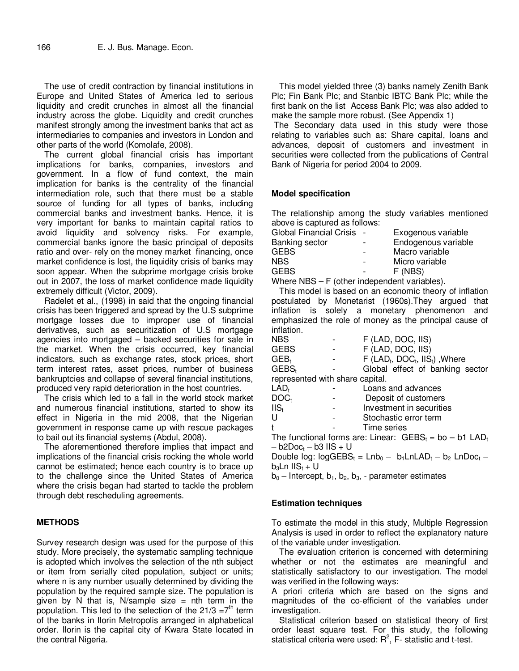The use of credit contraction by financial institutions in Europe and United States of America led to serious liquidity and credit crunches in almost all the financial industry across the globe. Liquidity and credit crunches manifest strongly among the investment banks that act as intermediaries to companies and investors in London and other parts of the world (Komolafe, 2008).

The current global financial crisis has important implications for banks, companies, investors and government. In a flow of fund context, the main implication for banks is the centrality of the financial intermediation role, such that there must be a stable source of funding for all types of banks, including commercial banks and investment banks. Hence, it is very important for banks to maintain capital ratios to avoid liquidity and solvency risks. For example, commercial banks ignore the basic principal of deposits ratio and over- rely on the money market financing, once market confidence is lost, the liquidity crisis of banks may soon appear. When the subprime mortgage crisis broke out in 2007, the loss of market confidence made liquidity extremely difficult (Victor, 2009).

Radelet et al., (1998) in said that the ongoing financial crisis has been triggered and spread by the U.S subprime mortgage losses due to improper use of financial derivatives, such as securitization of U.S mortgage agencies into mortgaged – backed securities for sale in the market. When the crisis occurred, key financial indicators, such as exchange rates, stock prices, short term interest rates, asset prices, number of business bankruptcies and collapse of several financial institutions, produced very rapid deterioration in the host countries.

The crisis which led to a fall in the world stock market and numerous financial institutions, started to show its effect in Nigeria in the mid 2008, that the Nigerian government in response came up with rescue packages to bail out its financial systems (Abdul, 2008).

The aforementioned therefore implies that impact and implications of the financial crisis rocking the whole world cannot be estimated; hence each country is to brace up to the challenge since the United States of America where the crisis began had started to tackle the problem through debt rescheduling agreements.

#### **METHODS**

Survey research design was used for the purpose of this study. More precisely, the systematic sampling technique is adopted which involves the selection of the nth subject or item from serially cited population, subject or units; where n is any number usually determined by dividing the population by the required sample size. The population is given by N that is, N/sample size  $=$  nth term in the population. This led to the selection of the  $21/3 = 7<sup>th</sup>$  term of the banks in Ilorin Metropolis arranged in alphabetical order. Ilorin is the capital city of Kwara State located in the central Nigeria.

This model yielded three (3) banks namely Zenith Bank Plc; Fin Bank Plc; and Stanbic IBTC Bank Plc; while the first bank on the list Access Bank Plc; was also added to make the sample more robust. (See Appendix 1)

 The Secondary data used in this study were those relating to variables such as: Share capital, loans and advances, deposit of customers and investment in securities were collected from the publications of Central Bank of Nigeria for period 2004 to 2009.

#### **Model specification**

The relationship among the study variables mentioned above is captured as follows:

| Global Financial Crisis - |                          | Exogenous variable  |
|---------------------------|--------------------------|---------------------|
| <b>Banking sector</b>     | $\qquad \qquad$          | Endogenous variable |
| <b>GEBS</b>               | $\overline{\phantom{0}}$ | Macro variable      |
| NBS.                      | $\overline{\phantom{0}}$ | Micro variable      |
| <b>GEBS</b>               | $\overline{\phantom{a}}$ | F (NBS)             |
|                           |                          |                     |

Where NBS – F (other independent variables).

This model is based on an economic theory of inflation postulated by Monetarist (1960s).They argued that inflation is solely a monetary phenomenon and emphasized the role of money as the principal cause of inflation.

| <b>NBS</b>                                                            |  | F (LAD, DOC, IIS)                                                    |  |  |  |  |  |
|-----------------------------------------------------------------------|--|----------------------------------------------------------------------|--|--|--|--|--|
| GEBS                                                                  |  | F (LAD, DOC, IIS)                                                    |  |  |  |  |  |
| $GEB_t$                                                               |  | $F$ (LAD <sub>t</sub> , DOC <sub>t</sub> , IIS <sub>t</sub> ), Where |  |  |  |  |  |
| GEBS <sub>t</sub>                                                     |  | Global effect of banking sector                                      |  |  |  |  |  |
| represented with share capital.                                       |  |                                                                      |  |  |  |  |  |
| $LAD_t$                                                               |  | Loans and advances                                                   |  |  |  |  |  |
| DOC <sub>t</sub>                                                      |  | Deposit of customers                                                 |  |  |  |  |  |
| $\mathsf{IIS}_{\mathsf{t}}$                                           |  | Investment in securities                                             |  |  |  |  |  |
| U                                                                     |  | Stochastic error term                                                |  |  |  |  |  |
| t                                                                     |  | Time series                                                          |  |  |  |  |  |
| The functional forms are: Linear: $GEBS_t = bo - b1$ LAD <sub>t</sub> |  |                                                                      |  |  |  |  |  |
| – b2Doc <sub>i</sub> – b3 IIS + U                                     |  |                                                                      |  |  |  |  |  |
| Double log: $logGEBS_t = Lnb_0 - b_1LnLAD_t - b_2 LnDoc_t -$          |  |                                                                      |  |  |  |  |  |
| $b_3$ Ln IIS $_t$ + U                                                 |  |                                                                      |  |  |  |  |  |

 $b_0$  – Intercept,  $b_1$ ,  $b_2$ ,  $b_3$ , - parameter estimates

## **Estimation techniques**

To estimate the model in this study, Multiple Regression Analysis is used in order to reflect the explanatory nature of the variable under investigation.

The evaluation criterion is concerned with determining whether or not the estimates are meaningful and statistically satisfactory to our investigation. The model was verified in the following ways:

A priori criteria which are based on the signs and magnitudes of the co-efficient of the variables under investigation.

Statistical criterion based on statistical theory of first order least square test. For this study, the following statistical criteria were used:  $R^2$ , F- statistic and t-test.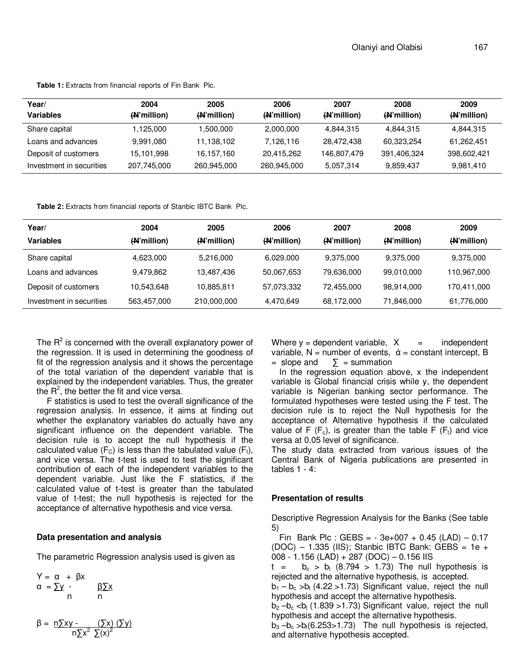| Year/                    | 2004        | 2005        | 2006        | 2007        | 2008                     | 2009        |
|--------------------------|-------------|-------------|-------------|-------------|--------------------------|-------------|
| <b>Variables</b>         | (H'million) | (N'million) | (N'million) | (N'million) | ( <del>N</del> 'million) | (N'million) |
| Share capital            | 1.125.000   | 1,500,000   | 2,000,000   | 4,844,315   | 4,844,315                | 4,844,315   |
| Loans and advances       | 9.991.080   | 11,138,102  | 7,126,116   | 28,472,438  | 60,323,254               | 61,262,451  |
| Deposit of customers     | 15,101,998  | 16,157,160  | 20,415,262  | 146,807,479 | 391,406,324              | 398,602,421 |
| Investment in securities | 207,745,000 | 260,945,000 | 260,945,000 | 5,057,314   | 9,859,437                | 9,981,410   |

**Table 1:** Extracts from financial reports of Fin Bank Plc.

**Table 2:** Extracts from financial reports of Stanbic IBTC Bank Plc.

| Year/                    | 2004        | 2005        | 2006        | 2007        | 2008        | 2009        |
|--------------------------|-------------|-------------|-------------|-------------|-------------|-------------|
| <b>Variables</b>         | (N'million) | (N'million) | (N'million) | (N'million) | (N'million) | (N'million) |
| Share capital            | 4,623,000   | 5,216,000   | 6,029,000   | 9,375,000   | 9,375,000   | 9,375,000   |
| Loans and advances       | 9,479,862   | 13,487,436  | 50,067,653  | 79,636,000  | 99,010,000  | 110,967,000 |
| Deposit of customers     | 10,543,648  | 10,885,811  | 57,073,332  | 72,455,000  | 98,914,000  | 170,411,000 |
| Investment in securities | 563,457,000 | 210,000,000 | 4,470,649   | 68,172,000  | 71,846,000  | 61,776,000  |

The  $R^2$  is concerned with the overall explanatory power of the regression. It is used in determining the goodness of fit of the regression analysis and it shows the percentage of the total variation of the dependent variable that is explained by the independent variables. Thus, the greater the  $R^2$ , the better the fit and vice versa.

 F statistics is used to test the overall significance of the regression analysis. In essence, it aims at finding out whether the explanatory variables do actually have any significant influence on the dependent variable. The decision rule is to accept the null hypothesis if the calculated value ( $F_c$ ) is less than the tabulated value ( $F_t$ ), and vice versa. The t-test is used to test the significant contribution of each of the independent variables to the dependent variable. Just like the F statistics, if the calculated value of t-test is greater than the tabulated value of t-test; the null hypothesis is rejected for the acceptance of alternative hypothesis and vice versa.

#### **Data presentation and analysis**

The parametric Regression analysis used is given as

 $Y = \alpha + \beta x$  $\alpha = \sum y - \beta \sum x$ n n

$$
\beta = \frac{n \sum xy - \left(\sum x\right) (\sum y)}{n \sum x^2 \sum (x)^2}
$$

Where  $y =$  dependent variable,  $X =$  independent variable,  $N =$  number of events,  $\dot{\alpha} =$  constant intercept, B  $=$  slope and  $\sum$  = summation

In the regression equation above, x the independent variable is Global financial crisis while y, the dependent variable is Nigerian banking sector performance. The formulated hypotheses were tested using the F test. The decision rule is to reject the Null hypothesis for the acceptance of Alternative hypothesis if the calculated value of F  $(F_c)$ , is greater than the table F  $(F_t)$  and vice versa at 0.05 level of significance.

The study data extracted from various issues of the Central Bank of Nigeria publications are presented in tables  $1 - 4$ :

#### **Presentation of results**

Descriptive Regression Analysis for the Banks (See table 5)

Fin Bank Plc : GEBS =  $-3e+007 + 0.45$  (LAD)  $-0.17$  $(DOC) - 1.335$  (IIS); Stanbic IBTC Bank: GEBS = 1e + 008 - 1.156 (LAD) + 287 (DOC) – 0.156 IIS

 $t = b_c > b_t$  (8.794 > 1.73) The null hypothesis is rejected and the alternative hypothesis, is accepted.

 $b_1 - b_c$  > $b_t$  (4.22 > 1.73) Significant value, reject the null hypothesis and accept the alternative hypothesis.

 $b_2 - b_c < b_t$  (1.839 > 1.73) Significant value, reject the null hypothesis and accept the alternative hypothesis.

 $b_3 - b_c > b_t(6.253 > 1.73)$  The null hypothesis is rejected, and alternative hypothesis accepted.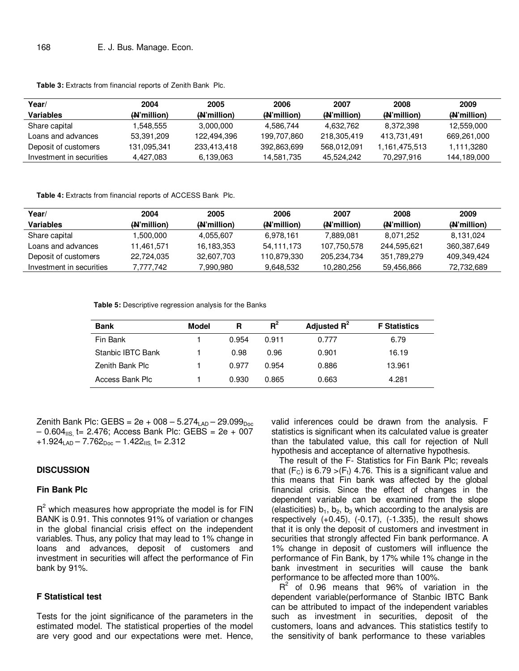| Year/                    | 2004        | 2005        | 2006                 | 2007        | 2008          | 2009                     |
|--------------------------|-------------|-------------|----------------------|-------------|---------------|--------------------------|
| Variables                | (W'million) | (N'million) | ( <b>N</b> 'million) | (H'million) | (A) million)  | ( <del>N</del> 'million) |
| Share capital            | 1.548.555   | 3,000,000   | 4.586.744            | 4.632.762   | 8.372.398     | 12.559.000               |
| Loans and advances       | 53.391.209  | 122.494.396 | 199.707.860          | 218.305.419 | 413.731.491   | 669.261.000              |
| Deposit of customers     | 131,095,341 | 233.413.418 | 392,863,699          | 568,012,091 | 1.161.475.513 | 1,111,3280               |
| Investment in securities | 4.427.083   | 6.139.063   | 14.581.735           | 45.524.242  | 70.297.916    | 144.189.000              |

**Table 3:** Extracts from financial reports of Zenith Bank Plc.

Table 4: Extracts from financial reports of ACCESS Bank Plc.

| Year/                    | 2004        | 2005        | 2006        | 2007        | 2008        | 2009        |
|--------------------------|-------------|-------------|-------------|-------------|-------------|-------------|
| Variables                | (N'million) | (N'million) | (W'million) | (W'million) | (N'million) | (N'million) |
| Share capital            | 1.500.000   | 4.055.607   | 6.978.161   | 7.889.081   | 8.071.252   | 8.131.024   |
| Loans and advances       | 11.461.571  | 16.183.353  | 54,111,173  | 107,750,578 | 244.595.621 | 360.387.649 |
| Deposit of customers     | 22.724.035  | 32.607.703  | 110,879,330 | 205.234.734 | 351.789.279 | 409.349.424 |
| Investment in securities | 7.777.742   | 7.990.980   | 9.648.532   | 10.280.256  | 59.456.866  | 72.732.689  |

**Table 5:** Descriptive regression analysis for the Banks

| <b>Bank</b>       | Model | R     | $R^2$ | Adjusted $R^2$ | <b>F</b> Statistics |
|-------------------|-------|-------|-------|----------------|---------------------|
| Fin Bank          |       | 0.954 | 0.911 | 0.777          | 6.79                |
| Stanbic IBTC Bank |       | 0.98  | 0.96  | 0.901          | 16.19               |
| Zenith Bank Plc   |       | 0.977 | 0.954 | 0.886          | 13.961              |
| Access Bank Plc   |       | 0.930 | 0.865 | 0.663          | 4.281               |

Zenith Bank Plc: GEBS =  $2e + 008 - 5.274_{LAD} - 29.099_{Doc}$  $-$  0.604 $_{\text{IIS}}$  t= 2.476; Access Bank Plc: GEBS = 2e + 007  $+1.924<sub>LAD</sub> - 7.762<sub>Doc</sub> - 1.422<sub>HS</sub>$  t= 2.312

### **DISCUSSION**

#### **Fin Bank Plc**

 $R^2$  which measures how appropriate the model is for FIN BANK is 0.91. This connotes 91% of variation or changes in the global financial crisis effect on the independent variables. Thus, any policy that may lead to 1% change in loans and advances, deposit of customers and investment in securities will affect the performance of Fin bank by 91%.

#### **F Statistical test**

Tests for the joint significance of the parameters in the estimated model. The statistical properties of the model are very good and our expectations were met. Hence, valid inferences could be drawn from the analysis. F statistics is significant when its calculated value is greater than the tabulated value, this call for rejection of Null hypothesis and acceptance of alternative hypothesis.

The result of the F- Statistics for Fin Bank Plc; reveals that  $(F_c)$  is 6.79 >  $(F_t)$  4.76. This is a significant value and this means that Fin bank was affected by the global financial crisis. Since the effect of changes in the dependent variable can be examined from the slope (elasticities)  $b_1$ ,  $b_2$ ,  $b_3$  which according to the analysis are respectively  $(+0.45)$ ,  $(-0.17)$ ,  $(-1.335)$ , the result shows that it is only the deposit of customers and investment in securities that strongly affected Fin bank performance. A 1% change in deposit of customers will influence the performance of Fin Bank, by 17% while 1% change in the bank investment in securities will cause the bank performance to be affected more than 100%.

 $R^2$  of 0.96 means that 96% of variation in the dependent variable(performance of Stanbic IBTC Bank can be attributed to impact of the independent variables such as investment in securities, deposit of the customers, loans and advances. This statistics testify to the sensitivity of bank performance to these variables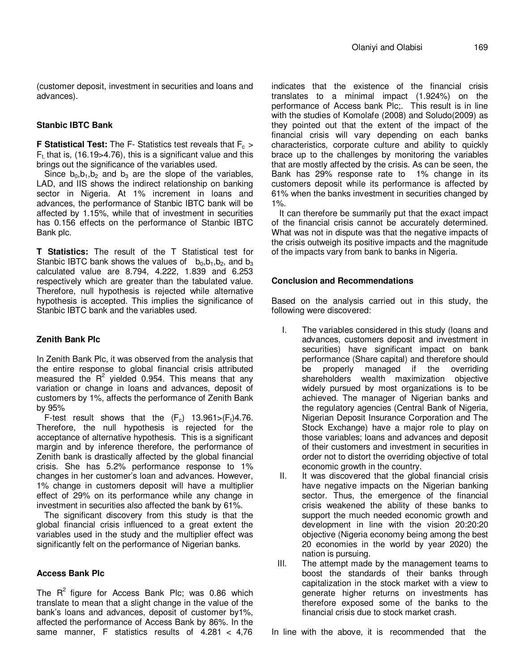(customer deposit, investment in securities and loans and advances).

#### **Stanbic IBTC Bank**

**F Statistical Test:** The F- Statistics test reveals that F<sub>c</sub> >  $F_t$ , that is, (16.19>4.76), this is a significant value and this brings out the significance of the variables used.

Since  $b_0$ ,  $b_1$ ,  $b_2$  and  $b_3$  are the slope of the variables, LAD, and IIS shows the indirect relationship on banking sector in Nigeria. At 1% increment in loans and advances, the performance of Stanbic IBTC bank will be affected by 1.15%, while that of investment in securities has 0.156 effects on the performance of Stanbic IBTC Bank plc.

**T Statistics:** The result of the T Statistical test for Stanbic IBTC bank shows the values of  $b_0, b_1, b_2$ , and  $b_3$ calculated value are 8.794, 4.222, 1.839 and 6.253 respectively which are greater than the tabulated value. Therefore, null hypothesis is rejected while alternative hypothesis is accepted. This implies the significance of Stanbic IBTC bank and the variables used.

## **Zenith Bank Plc**

In Zenith Bank Plc, it was observed from the analysis that the entire response to global financial crisis attributed measured the  $R^2$  yielded 0.954. This means that any variation or change in loans and advances, deposit of customers by 1%, affects the performance of Zenith Bank by 95%

F-test result shows that the  $(F_c)$  13.961> $(F_t)$ 4.76. Therefore, the null hypothesis is rejected for the acceptance of alternative hypothesis. This is a significant margin and by inference therefore, the performance of Zenith bank is drastically affected by the global financial crisis. She has 5.2% performance response to 1% changes in her customer's loan and advances. However, 1% change in customers deposit will have a multiplier effect of 29% on its performance while any change in investment in securities also affected the bank by 61%.

The significant discovery from this study is that the global financial crisis influenced to a great extent the variables used in the study and the multiplier effect was significantly felt on the performance of Nigerian banks.

## **Access Bank Plc**

The  $R^2$  figure for Access Bank Plc; was 0.86 which translate to mean that a slight change in the value of the bank's loans and advances, deposit of customer by1%, affected the performance of Access Bank by 86%. In the same manner, F statistics results of 4.281 < 4,76

indicates that the existence of the financial crisis translates to a minimal impact (1.924%) on the performance of Access bank Plc;. This result is in line with the studies of Komolafe (2008) and Soludo(2009) as they pointed out that the extent of the impact of the financial crisis will vary depending on each banks characteristics, corporate culture and ability to quickly brace up to the challenges by monitoring the variables that are mostly affected by the crisis. As can be seen, the Bank has 29% response rate to 1% change in its customers deposit while its performance is affected by 61% when the banks investment in securities changed by 1%.

It can therefore be summarily put that the exact impact of the financial crisis cannot be accurately determined. What was not in dispute was that the negative impacts of the crisis outweigh its positive impacts and the magnitude of the impacts vary from bank to banks in Nigeria.

## **Conclusion and Recommendations**

Based on the analysis carried out in this study, the following were discovered:

- I. The variables considered in this study (loans and advances, customers deposit and investment in securities) have significant impact on bank performance (Share capital) and therefore should be properly managed if the overriding shareholders wealth maximization objective widely pursued by most organizations is to be achieved. The manager of Nigerian banks and the regulatory agencies (Central Bank of Nigeria, Nigerian Deposit Insurance Corporation and The Stock Exchange) have a major role to play on those variables; loans and advances and deposit of their customers and investment in securities in order not to distort the overriding objective of total economic growth in the country.
- II. It was discovered that the global financial crisis have negative impacts on the Nigerian banking sector. Thus, the emergence of the financial crisis weakened the ability of these banks to support the much needed economic growth and development in line with the vision 20:20:20 objective (Nigeria economy being among the best 20 economies in the world by year 2020) the nation is pursuing.
- III. The attempt made by the management teams to boost the standards of their banks through capitalization in the stock market with a view to generate higher returns on investments has therefore exposed some of the banks to the financial crisis due to stock market crash.

In line with the above, it is recommended that the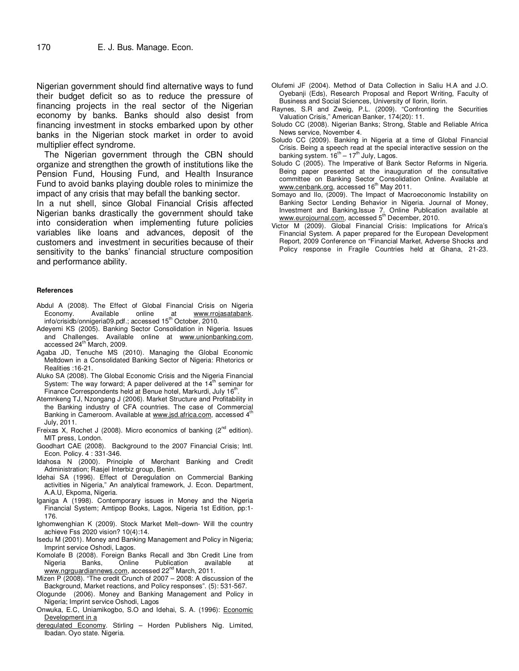Nigerian government should find alternative ways to fund their budget deficit so as to reduce the pressure of financing projects in the real sector of the Nigerian economy by banks. Banks should also desist from financing investment in stocks embarked upon by other banks in the Nigerian stock market in order to avoid multiplier effect syndrome.

The Nigerian government through the CBN should organize and strengthen the growth of institutions like the Pension Fund, Housing Fund, and Health Insurance Fund to avoid banks playing double roles to minimize the impact of any crisis that may befall the banking sector.

In a nut shell, since Global Financial Crisis affected Nigerian banks drastically the government should take into consideration when implementing future policies variables like loans and advances, deposit of the customers and investment in securities because of their sensitivity to the banks' financial structure composition and performance ability.

#### **References**

- Abdul A (2008). The Effect of Global Financial Crisis on Nigeria Economy. Available online at www.rrojasatabank. info/crisidb/onnigeria09.pdf.; accessed 15th October, 2010.
- Adeyemi KS (2005). Banking Sector Consolidation in Nigeria. Issues and Challenges. Available online at www.unionbanking.com, accessed 24<sup>th</sup> March, 2009.
- Agaba JD, Tenuche MS (2010). Managing the Global Economic Meltdown in a Consolidated Banking Sector of Nigeria: Rhetorics or Realities :16-21.
- Aluko SA (2008). The Global Economic Crisis and the Nigeria Financial System: The way forward; A paper delivered at the  $14<sup>th</sup>$  seminar for Finance Correspondents held at Benue hotel, Markurdi, July 16<sup>th</sup>.
- Atemnkeng TJ, Nzongang J (2006). Market Structure and Profitability in the Banking industry of CFA countries. The case of Commercial Banking in Cameroom. Available at www.jsd.africa.com, accessed 4<sup>th</sup> July, 2011.
- Freixas X, Rochet J (2008). Micro economics of banking ( $2<sup>nd</sup>$  edition). MIT press, London.
- Goodhart CAE (2008). Background to the 2007 Financial Crisis; Intl. Econ. Policy. 4 : 331-346.
- Idahosa N (2000). Principle of Merchant Banking and Credit Administration; Rasjel Interbiz group, Benin.
- Idehai SA (1996). Effect of Deregulation on Commercial Banking activities in Nigeria," An analytical framework, J. Econ. Department, A.A.U, Ekpoma, Nigeria.
- Iganiga A (1998). Contemporary issues in Money and the Nigeria Financial System; Amtipop Books, Lagos, Nigeria 1st Edition, pp:1- 176.
- Ighomwenghian K (2009). Stock Market Melt–down- Will the country achieve Fss 2020 vision? 10(4):14.
- Isedu M (2001). Money and Banking Management and Policy in Nigeria; Imprint service Oshodi, Lagos.
- Komolafe B (2008). Foreign Banks Recall and 3bn Credit Line from Nigeria Banks, Online Publication available www.ngrguardiannews.com, accessed 22<sup>nd</sup> March, 2011.
- Mizen P (2008). "The credit Crunch of 2007 2008: A discussion of the Background, Market reactions, and Policy responses". (5): 531-567.
- Ologunde (2006). Money and Banking Management and Policy in Nigeria; Imprint service Oshodi, Lagos
- Onwuka, E.C, Uniamikogbo, S.O and Idehai, S. A. (1996): Economic Development in a
- deregulated Economy. Stirling Horden Publishers Nig. Limited, Ibadan. Oyo state. Nigeria.
- Olufemi JF (2004). Method of Data Collection in Saliu H.A and J.O. Oyebanji (Eds), Research Proposal and Report Writing, Faculty of Business and Social Sciences, University of Ilorin, Ilorin.
- Raynes, S.R and Zweig, P.L. (2009). "Confronting the Securities Valuation Crisis," American Banker, 174(20): 11.
- Soludo CC (2008). Nigerian Banks; Strong, Stable and Reliable Africa News service, November 4.
- Soludo CC (2009). Banking in Nigeria at a time of Global Financial Crisis. Being a speech read at the special interactive session on the banking system.  $16^{th} - 17^{th}$  July, Lagos.
- Soludo C (2005). The Imperative of Bank Sector Reforms in Nigeria. Being paper presented at the inauguration of the consultative committee on Banking Sector Consolidation Online. Available at<br><u>www.cenbank.org</u>, accessed 16<sup>th</sup> May 2011.
- Somayo and Ilo, (2009). The Impact of Macroeconomic Instability on Banking Sector Lending Behavior in Nigeria. Journal of Money, Investment and Banking,Issue 7. Online Publication available at<br>www.eurojourn<u>al.com</u>, accessed 5<sup>th</sup> December, 2010.
- Victor M (2009). Global Financial Crisis: Implications for Africa's Financial System. A paper prepared for the European Development Report, 2009 Conference on "Financial Market, Adverse Shocks and Policy response in Fragile Countries held at Ghana, 21-23.